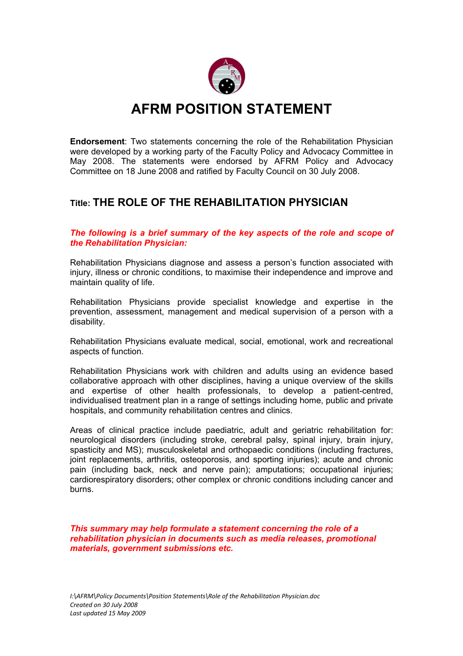

## **AFRM POSITION STATEMENT**

**Endorsement**: Two statements concerning the role of the Rehabilitation Physician were developed by a working party of the Faculty Policy and Advocacy Committee in May 2008. The statements were endorsed by AFRM Policy and Advocacy Committee on 18 June 2008 and ratified by Faculty Council on 30 July 2008.

## **Title: THE ROLE OF THE REHABILITATION PHYSICIAN**

*The following is a brief summary of the key aspects of the role and scope of the Rehabilitation Physician:* 

Rehabilitation Physicians diagnose and assess a person's function associated with injury, illness or chronic conditions, to maximise their independence and improve and maintain quality of life.

Rehabilitation Physicians provide specialist knowledge and expertise in the prevention, assessment, management and medical supervision of a person with a disability.

Rehabilitation Physicians evaluate medical, social, emotional, work and recreational aspects of function.

Rehabilitation Physicians work with children and adults using an evidence based collaborative approach with other disciplines, having a unique overview of the skills and expertise of other health professionals, to develop a patient-centred, individualised treatment plan in a range of settings including home, public and private hospitals, and community rehabilitation centres and clinics.

Areas of clinical practice include paediatric, adult and geriatric rehabilitation for: neurological disorders (including stroke, cerebral palsy, spinal injury, brain injury, spasticity and MS); musculoskeletal and orthopaedic conditions (including fractures, joint replacements, arthritis, osteoporosis, and sporting injuries); acute and chronic pain (including back, neck and nerve pain); amputations; occupational injuries; cardiorespiratory disorders; other complex or chronic conditions including cancer and burns.

*This summary may help formulate a statement concerning the role of a rehabilitation physician in documents such as media releases, promotional materials, government submissions etc.*